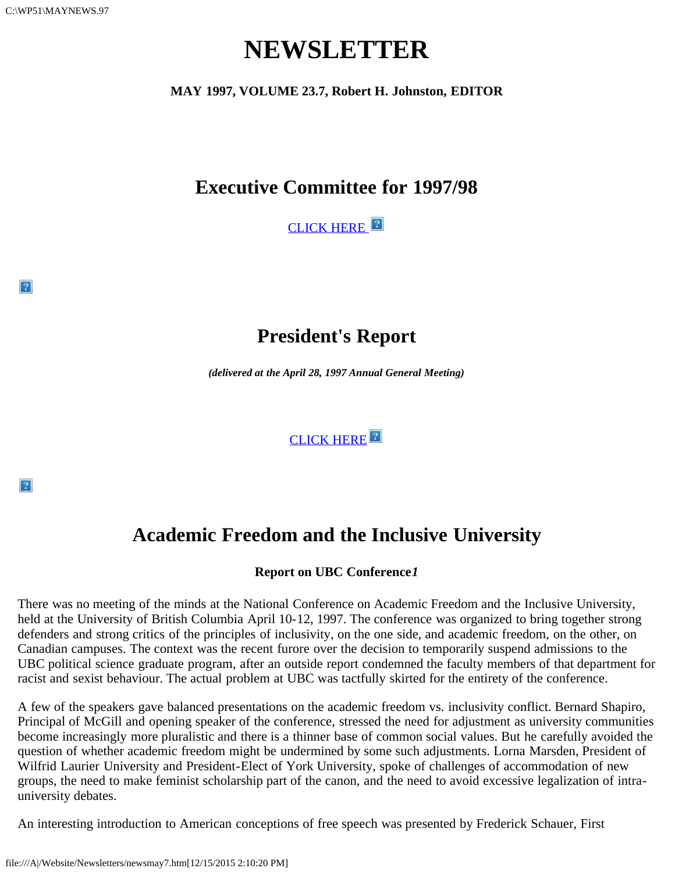$|2|$ 

 $|2|$ 

# **NEWSLETTER**

**MAY 1997, VOLUME 23.7, Robert H. Johnston, EDITOR**

## **Executive Committee for 1997/98**

CLICK HERE

## **President's Report**

*(delivered at the April 28, 1997 Annual General Meeting)*

[CLICK HERE](file:///A|/Website/Newsletters/robb.htm)<sup>2</sup>

# **Academic Freedom and the Inclusive University**

#### **Report on UBC Conference***1*

There was no meeting of the minds at the National Conference on Academic Freedom and the Inclusive University, held at the University of British Columbia April 10-12, 1997. The conference was organized to bring together strong defenders and strong critics of the principles of inclusivity, on the one side, and academic freedom, on the other, on Canadian campuses. The context was the recent furore over the decision to temporarily suspend admissions to the UBC political science graduate program, after an outside report condemned the faculty members of that department for racist and sexist behaviour. The actual problem at UBC was tactfully skirted for the entirety of the conference.

A few of the speakers gave balanced presentations on the academic freedom vs. inclusivity conflict. Bernard Shapiro, Principal of McGill and opening speaker of the conference, stressed the need for adjustment as university communities become increasingly more pluralistic and there is a thinner base of common social values. But he carefully avoided the question of whether academic freedom might be undermined by some such adjustments. Lorna Marsden, President of Wilfrid Laurier University and President-Elect of York University, spoke of challenges of accommodation of new groups, the need to make feminist scholarship part of the canon, and the need to avoid excessive legalization of intrauniversity debates.

An interesting introduction to American conceptions of free speech was presented by Frederick Schauer, First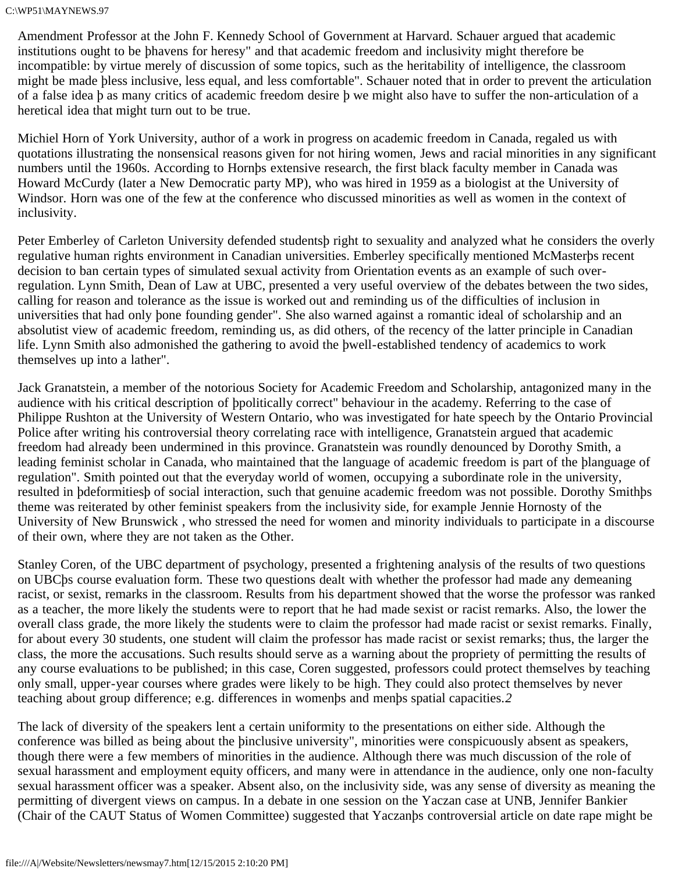Amendment Professor at the John F. Kennedy School of Government at Harvard. Schauer argued that academic institutions ought to be þhavens for heresy" and that academic freedom and inclusivity might therefore be incompatible: by virtue merely of discussion of some topics, such as the heritability of intelligence, the classroom might be made þless inclusive, less equal, and less comfortable". Schauer noted that in order to prevent the articulation of a false idea þ as many critics of academic freedom desire þ we might also have to suffer the non-articulation of a heretical idea that might turn out to be true.

Michiel Horn of York University, author of a work in progress on academic freedom in Canada, regaled us with quotations illustrating the nonsensical reasons given for not hiring women, Jews and racial minorities in any significant numbers until the 1960s. According to Hornþs extensive research, the first black faculty member in Canada was Howard McCurdy (later a New Democratic party MP), who was hired in 1959 as a biologist at the University of Windsor. Horn was one of the few at the conference who discussed minorities as well as women in the context of inclusivity.

Peter Emberley of Carleton University defended studentsþ right to sexuality and analyzed what he considers the overly regulative human rights environment in Canadian universities. Emberley specifically mentioned McMasterþs recent decision to ban certain types of simulated sexual activity from Orientation events as an example of such overregulation. Lynn Smith, Dean of Law at UBC, presented a very useful overview of the debates between the two sides, calling for reason and tolerance as the issue is worked out and reminding us of the difficulties of inclusion in universities that had only þone founding gender". She also warned against a romantic ideal of scholarship and an absolutist view of academic freedom, reminding us, as did others, of the recency of the latter principle in Canadian life. Lynn Smith also admonished the gathering to avoid the þwell-established tendency of academics to work themselves up into a lather".

Jack Granatstein, a member of the notorious Society for Academic Freedom and Scholarship, antagonized many in the audience with his critical description of þpolitically correct" behaviour in the academy. Referring to the case of Philippe Rushton at the University of Western Ontario, who was investigated for hate speech by the Ontario Provincial Police after writing his controversial theory correlating race with intelligence, Granatstein argued that academic freedom had already been undermined in this province. Granatstein was roundly denounced by Dorothy Smith, a leading feminist scholar in Canada, who maintained that the language of academic freedom is part of the þlanguage of regulation". Smith pointed out that the everyday world of women, occupying a subordinate role in the university, resulted in þdeformitiesþ of social interaction, such that genuine academic freedom was not possible. Dorothy Smithþs theme was reiterated by other feminist speakers from the inclusivity side, for example Jennie Hornosty of the University of New Brunswick , who stressed the need for women and minority individuals to participate in a discourse of their own, where they are not taken as the Other.

Stanley Coren, of the UBC department of psychology, presented a frightening analysis of the results of two questions on UBCþs course evaluation form. These two questions dealt with whether the professor had made any demeaning racist, or sexist, remarks in the classroom. Results from his department showed that the worse the professor was ranked as a teacher, the more likely the students were to report that he had made sexist or racist remarks. Also, the lower the overall class grade, the more likely the students were to claim the professor had made racist or sexist remarks. Finally, for about every 30 students, one student will claim the professor has made racist or sexist remarks; thus, the larger the class, the more the accusations. Such results should serve as a warning about the propriety of permitting the results of any course evaluations to be published; in this case, Coren suggested, professors could protect themselves by teaching only small, upper-year courses where grades were likely to be high. They could also protect themselves by never teaching about group difference; e.g. differences in womenþs and menþs spatial capacities.*2*

The lack of diversity of the speakers lent a certain uniformity to the presentations on either side. Although the conference was billed as being about the þinclusive university", minorities were conspicuously absent as speakers, though there were a few members of minorities in the audience. Although there was much discussion of the role of sexual harassment and employment equity officers, and many were in attendance in the audience, only one non-faculty sexual harassment officer was a speaker. Absent also, on the inclusivity side, was any sense of diversity as meaning the permitting of divergent views on campus. In a debate in one session on the Yaczan case at UNB, Jennifer Bankier (Chair of the CAUT Status of Women Committee) suggested that Yaczanþs controversial article on date rape might be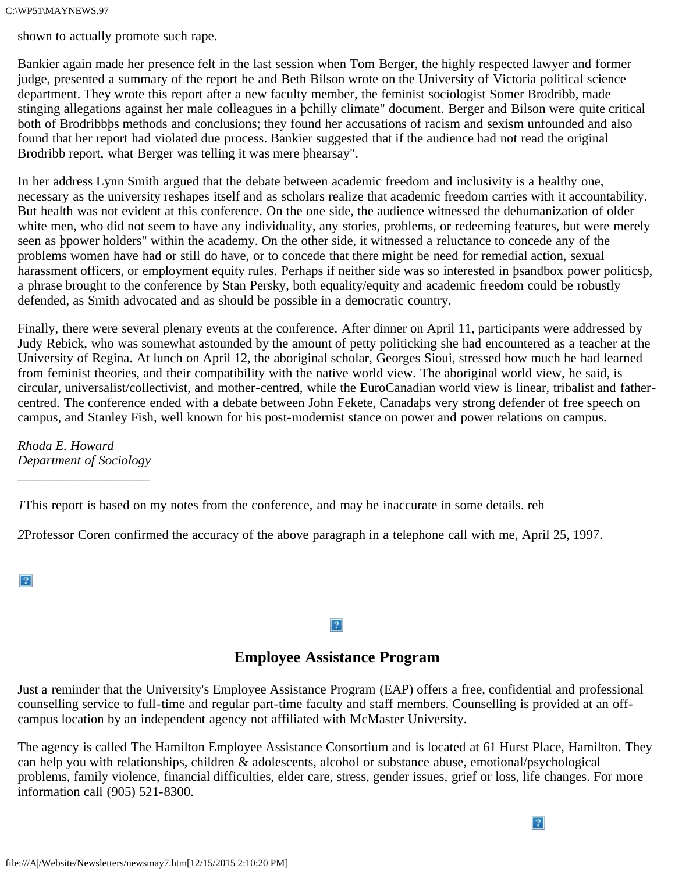#### C:\WP51\MAYNEWS.97

shown to actually promote such rape.

Bankier again made her presence felt in the last session when Tom Berger, the highly respected lawyer and former judge, presented a summary of the report he and Beth Bilson wrote on the University of Victoria political science department. They wrote this report after a new faculty member, the feminist sociologist Somer Brodribb, made stinging allegations against her male colleagues in a þchilly climate" document. Berger and Bilson were quite critical both of Brodribbþs methods and conclusions; they found her accusations of racism and sexism unfounded and also found that her report had violated due process. Bankier suggested that if the audience had not read the original Brodribb report, what Berger was telling it was mere þhearsay".

In her address Lynn Smith argued that the debate between academic freedom and inclusivity is a healthy one, necessary as the university reshapes itself and as scholars realize that academic freedom carries with it accountability. But health was not evident at this conference. On the one side, the audience witnessed the dehumanization of older white men, who did not seem to have any individuality, any stories, problems, or redeeming features, but were merely seen as þpower holders" within the academy. On the other side, it witnessed a reluctance to concede any of the problems women have had or still do have, or to concede that there might be need for remedial action, sexual harassment officers, or employment equity rules. Perhaps if neither side was so interested in þsandbox power politicsþ, a phrase brought to the conference by Stan Persky, both equality/equity and academic freedom could be robustly defended, as Smith advocated and as should be possible in a democratic country.

Finally, there were several plenary events at the conference. After dinner on April 11, participants were addressed by Judy Rebick, who was somewhat astounded by the amount of petty politicking she had encountered as a teacher at the University of Regina. At lunch on April 12, the aboriginal scholar, Georges Sioui, stressed how much he had learned from feminist theories, and their compatibility with the native world view. The aboriginal world view, he said, is circular, universalist/collectivist, and mother-centred, while the EuroCanadian world view is linear, tribalist and fathercentred. The conference ended with a debate between John Fekete, Canadaþs very strong defender of free speech on campus, and Stanley Fish, well known for his post-modernist stance on power and power relations on campus.

*Rhoda E. Howard Department of Sociology*

\_\_\_\_\_\_\_\_\_\_\_\_\_\_\_\_\_\_\_\_

*1*This report is based on my notes from the conference, and may be inaccurate in some details. reh

*2*Professor Coren confirmed the accuracy of the above paragraph in a telephone call with me, April 25, 1997.

 $\overline{?}$ 

#### $\boxed{?}$

#### **Employee Assistance Program**

Just a reminder that the University's Employee Assistance Program (EAP) offers a free, confidential and professional counselling service to full-time and regular part-time faculty and staff members. Counselling is provided at an offcampus location by an independent agency not affiliated with McMaster University.

The agency is called The Hamilton Employee Assistance Consortium and is located at 61 Hurst Place, Hamilton. They can help you with relationships, children & adolescents, alcohol or substance abuse, emotional/psychological problems, family violence, financial difficulties, elder care, stress, gender issues, grief or loss, life changes. For more information call (905) 521-8300.

 $|2|$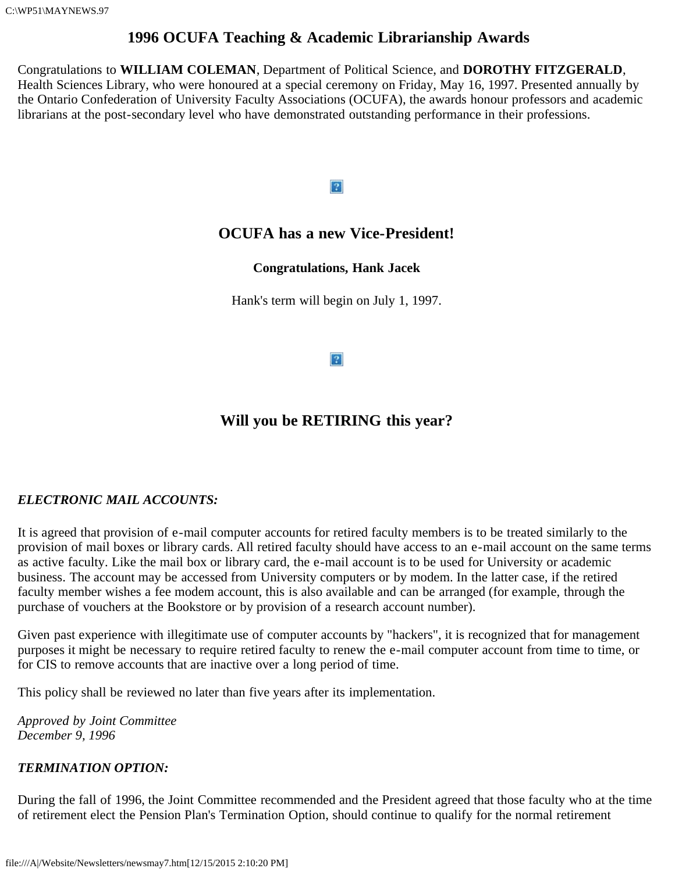C:\WP51\MAYNEWS.97

### **1996 OCUFA Teaching & Academic Librarianship Awards**

Congratulations to **WILLIAM COLEMAN**, Department of Political Science, and **DOROTHY FITZGERALD**, Health Sciences Library, who were honoured at a special ceremony on Friday, May 16, 1997. Presented annually by the Ontario Confederation of University Faculty Associations (OCUFA), the awards honour professors and academic librarians at the post-secondary level who have demonstrated outstanding performance in their professions.

#### $|2|$

### **OCUFA has a new Vice-President!**

#### **Congratulations, Hank Jacek**

Hank's term will begin on July 1, 1997.

 $|2|$ 

## **Will you be RETIRING this year?**

#### *ELECTRONIC MAIL ACCOUNTS:*

It is agreed that provision of e-mail computer accounts for retired faculty members is to be treated similarly to the provision of mail boxes or library cards. All retired faculty should have access to an e-mail account on the same terms as active faculty. Like the mail box or library card, the e-mail account is to be used for University or academic business. The account may be accessed from University computers or by modem. In the latter case, if the retired faculty member wishes a fee modem account, this is also available and can be arranged (for example, through the purchase of vouchers at the Bookstore or by provision of a research account number).

Given past experience with illegitimate use of computer accounts by "hackers", it is recognized that for management purposes it might be necessary to require retired faculty to renew the e-mail computer account from time to time, or for CIS to remove accounts that are inactive over a long period of time.

This policy shall be reviewed no later than five years after its implementation.

*Approved by Joint Committee December 9, 1996*

#### *TERMINATION OPTION:*

During the fall of 1996, the Joint Committee recommended and the President agreed that those faculty who at the time of retirement elect the Pension Plan's Termination Option, should continue to qualify for the normal retirement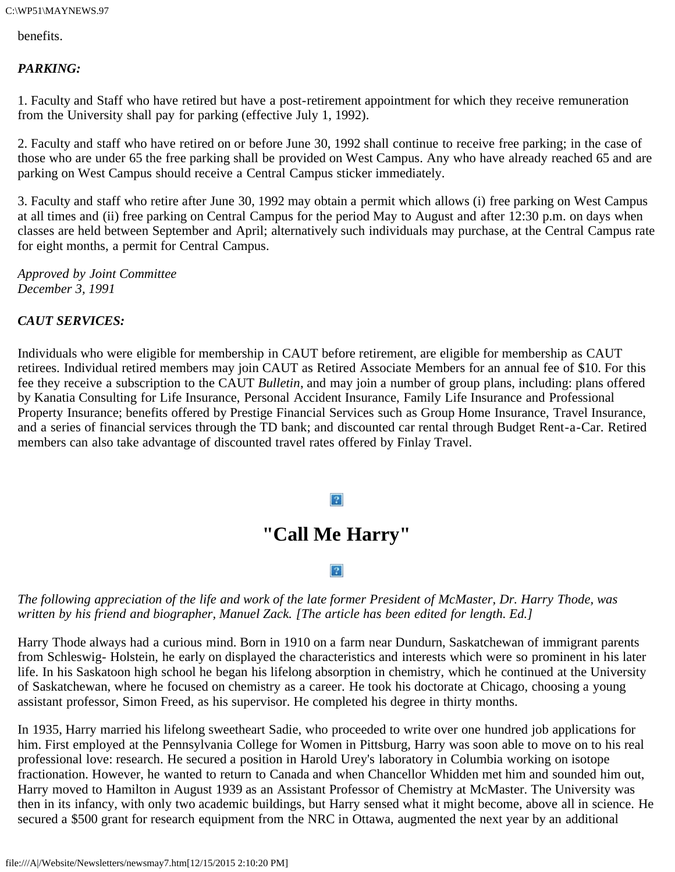benefits.

#### *PARKING:*

1. Faculty and Staff who have retired but have a post-retirement appointment for which they receive remuneration from the University shall pay for parking (effective July 1, 1992).

2. Faculty and staff who have retired on or before June 30, 1992 shall continue to receive free parking; in the case of those who are under 65 the free parking shall be provided on West Campus. Any who have already reached 65 and are parking on West Campus should receive a Central Campus sticker immediately.

3. Faculty and staff who retire after June 30, 1992 may obtain a permit which allows (i) free parking on West Campus at all times and (ii) free parking on Central Campus for the period May to August and after 12:30 p.m. on days when classes are held between September and April; alternatively such individuals may purchase, at the Central Campus rate for eight months, a permit for Central Campus.

*Approved by Joint Committee December 3, 1991*

#### *CAUT SERVICES:*

Individuals who were eligible for membership in CAUT before retirement, are eligible for membership as CAUT retirees. Individual retired members may join CAUT as Retired Associate Members for an annual fee of \$10. For this fee they receive a subscription to the CAUT *Bulletin*, and may join a number of group plans, including: plans offered by Kanatia Consulting for Life Insurance, Personal Accident Insurance, Family Life Insurance and Professional Property Insurance; benefits offered by Prestige Financial Services such as Group Home Insurance, Travel Insurance, and a series of financial services through the TD bank; and discounted car rental through Budget Rent-a-Car. Retired members can also take advantage of discounted travel rates offered by Finlay Travel.

#### $|2|$

## **"Call Me Harry"**

#### $\boxed{?}$

#### *The following appreciation of the life and work of the late former President of McMaster, Dr. Harry Thode, was written by his friend and biographer, Manuel Zack. [The article has been edited for length. Ed.]*

Harry Thode always had a curious mind. Born in 1910 on a farm near Dundurn, Saskatchewan of immigrant parents from Schleswig- Holstein, he early on displayed the characteristics and interests which were so prominent in his later life. In his Saskatoon high school he began his lifelong absorption in chemistry, which he continued at the University of Saskatchewan, where he focused on chemistry as a career. He took his doctorate at Chicago, choosing a young assistant professor, Simon Freed, as his supervisor. He completed his degree in thirty months.

In 1935, Harry married his lifelong sweetheart Sadie, who proceeded to write over one hundred job applications for him. First employed at the Pennsylvania College for Women in Pittsburg, Harry was soon able to move on to his real professional love: research. He secured a position in Harold Urey's laboratory in Columbia working on isotope fractionation. However, he wanted to return to Canada and when Chancellor Whidden met him and sounded him out, Harry moved to Hamilton in August 1939 as an Assistant Professor of Chemistry at McMaster. The University was then in its infancy, with only two academic buildings, but Harry sensed what it might become, above all in science. He secured a \$500 grant for research equipment from the NRC in Ottawa, augmented the next year by an additional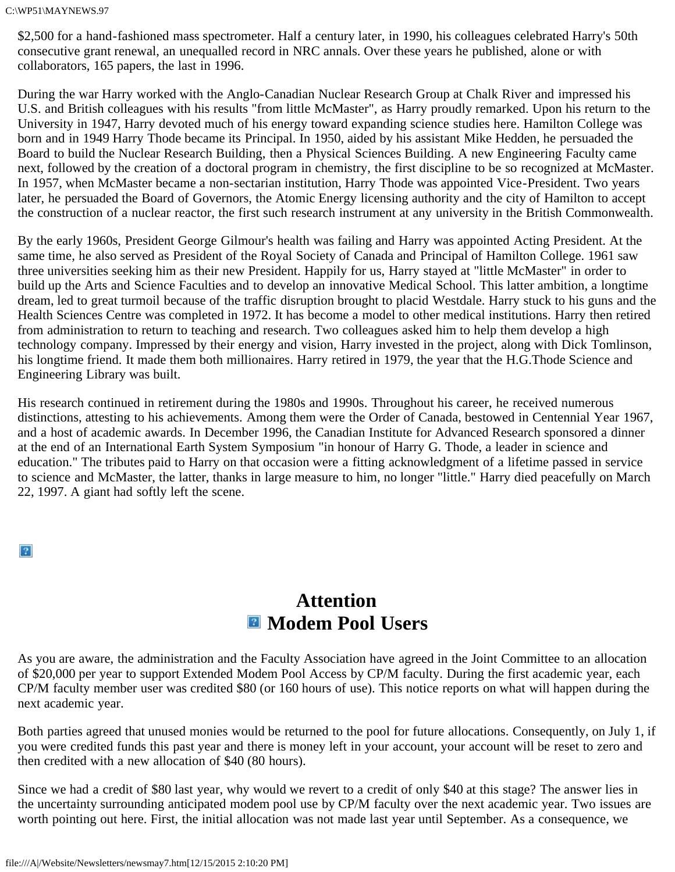\$2,500 for a hand-fashioned mass spectrometer. Half a century later, in 1990, his colleagues celebrated Harry's 50th consecutive grant renewal, an unequalled record in NRC annals. Over these years he published, alone or with collaborators, 165 papers, the last in 1996.

During the war Harry worked with the Anglo-Canadian Nuclear Research Group at Chalk River and impressed his U.S. and British colleagues with his results "from little McMaster", as Harry proudly remarked. Upon his return to the University in 1947, Harry devoted much of his energy toward expanding science studies here. Hamilton College was born and in 1949 Harry Thode became its Principal. In 1950, aided by his assistant Mike Hedden, he persuaded the Board to build the Nuclear Research Building, then a Physical Sciences Building. A new Engineering Faculty came next, followed by the creation of a doctoral program in chemistry, the first discipline to be so recognized at McMaster. In 1957, when McMaster became a non-sectarian institution, Harry Thode was appointed Vice-President. Two years later, he persuaded the Board of Governors, the Atomic Energy licensing authority and the city of Hamilton to accept the construction of a nuclear reactor, the first such research instrument at any university in the British Commonwealth.

By the early 1960s, President George Gilmour's health was failing and Harry was appointed Acting President. At the same time, he also served as President of the Royal Society of Canada and Principal of Hamilton College. 1961 saw three universities seeking him as their new President. Happily for us, Harry stayed at "little McMaster" in order to build up the Arts and Science Faculties and to develop an innovative Medical School. This latter ambition, a longtime dream, led to great turmoil because of the traffic disruption brought to placid Westdale. Harry stuck to his guns and the Health Sciences Centre was completed in 1972. It has become a model to other medical institutions. Harry then retired from administration to return to teaching and research. Two colleagues asked him to help them develop a high technology company. Impressed by their energy and vision, Harry invested in the project, along with Dick Tomlinson, his longtime friend. It made them both millionaires. Harry retired in 1979, the year that the H.G.Thode Science and Engineering Library was built.

His research continued in retirement during the 1980s and 1990s. Throughout his career, he received numerous distinctions, attesting to his achievements. Among them were the Order of Canada, bestowed in Centennial Year 1967, and a host of academic awards. In December 1996, the Canadian Institute for Advanced Research sponsored a dinner at the end of an International Earth System Symposium "in honour of Harry G. Thode, a leader in science and education." The tributes paid to Harry on that occasion were a fitting acknowledgment of a lifetime passed in service to science and McMaster, the latter, thanks in large measure to him, no longer "little." Harry died peacefully on March 22, 1997. A giant had softly left the scene.

 $\overline{?}$ 

# **Attention**  $\blacksquare$  **Modem Pool Users**

As you are aware, the administration and the Faculty Association have agreed in the Joint Committee to an allocation of \$20,000 per year to support Extended Modem Pool Access by CP/M faculty. During the first academic year, each CP/M faculty member user was credited \$80 (or 160 hours of use). This notice reports on what will happen during the next academic year.

Both parties agreed that unused monies would be returned to the pool for future allocations. Consequently, on July 1, if you were credited funds this past year and there is money left in your account, your account will be reset to zero and then credited with a new allocation of \$40 (80 hours).

Since we had a credit of \$80 last year, why would we revert to a credit of only \$40 at this stage? The answer lies in the uncertainty surrounding anticipated modem pool use by CP/M faculty over the next academic year. Two issues are worth pointing out here. First, the initial allocation was not made last year until September. As a consequence, we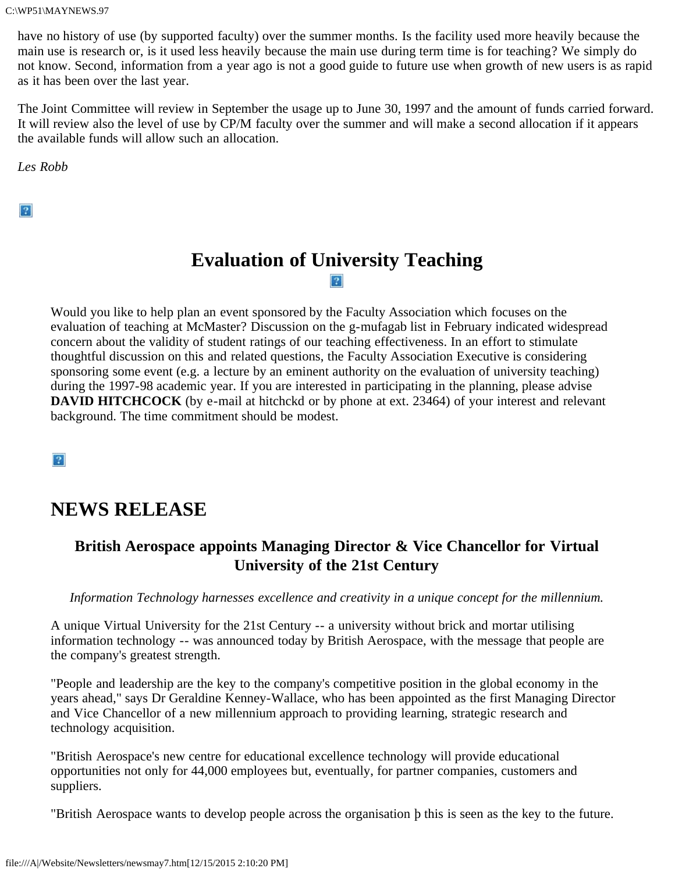have no history of use (by supported faculty) over the summer months. Is the facility used more heavily because the main use is research or, is it used less heavily because the main use during term time is for teaching? We simply do not know. Second, information from a year ago is not a good guide to future use when growth of new users is as rapid as it has been over the last year.

The Joint Committee will review in September the usage up to June 30, 1997 and the amount of funds carried forward. It will review also the level of use by CP/M faculty over the summer and will make a second allocation if it appears the available funds will allow such an allocation.

*Les Robb*

 $|2|$ 

### **Evaluation of University Teaching**  $|2|$

Would you like to help plan an event sponsored by the Faculty Association which focuses on the evaluation of teaching at McMaster? Discussion on the g-mufagab list in February indicated widespread concern about the validity of student ratings of our teaching effectiveness. In an effort to stimulate thoughtful discussion on this and related questions, the Faculty Association Executive is considering sponsoring some event (e.g. a lecture by an eminent authority on the evaluation of university teaching) during the 1997-98 academic year. If you are interested in participating in the planning, please advise **DAVID HITCHCOCK** (by e-mail at hitchckd or by phone at ext. 23464) of your interest and relevant background. The time commitment should be modest.

 $\sqrt{2}$ 

## **NEWS RELEASE**

### **British Aerospace appoints Managing Director & Vice Chancellor for Virtual University of the 21st Century**

*Information Technology harnesses excellence and creativity in a unique concept for the millennium.*

A unique Virtual University for the 21st Century -- a university without brick and mortar utilising information technology -- was announced today by British Aerospace, with the message that people are the company's greatest strength.

"People and leadership are the key to the company's competitive position in the global economy in the years ahead," says Dr Geraldine Kenney-Wallace, who has been appointed as the first Managing Director and Vice Chancellor of a new millennium approach to providing learning, strategic research and technology acquisition.

"British Aerospace's new centre for educational excellence technology will provide educational opportunities not only for 44,000 employees but, eventually, for partner companies, customers and suppliers.

"British Aerospace wants to develop people across the organisation þ this is seen as the key to the future.